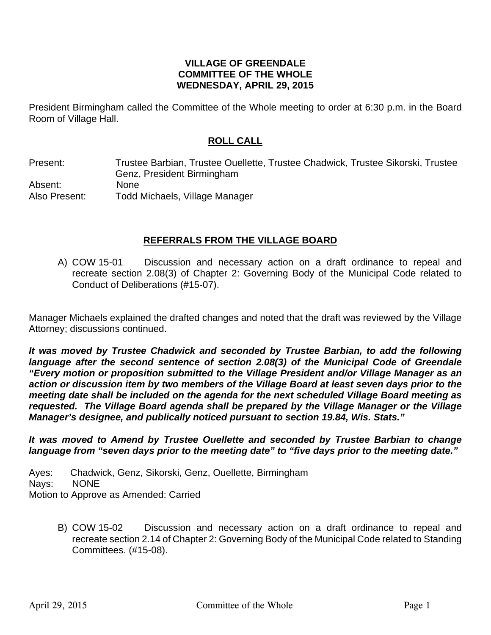#### **VILLAGE OF GREENDALE COMMITTEE OF THE WHOLE WEDNESDAY, APRIL 29, 2015**

President Birmingham called the Committee of the Whole meeting to order at 6:30 p.m. in the Board Room of Village Hall.

## **ROLL CALL**

Present: Trustee Barbian, Trustee Ouellette, Trustee Chadwick, Trustee Sikorski, Trustee Genz, President Birmingham Absent: None Also Present: Todd Michaels, Village Manager

#### **REFERRALS FROM THE VILLAGE BOARD**

A) COW 15-01 Discussion and necessary action on a draft ordinance to repeal and recreate section 2.08(3) of Chapter 2: Governing Body of the Municipal Code related to Conduct of Deliberations (#15-07).

Manager Michaels explained the drafted changes and noted that the draft was reviewed by the Village Attorney; discussions continued.

*It was moved by Trustee Chadwick and seconded by Trustee Barbian, to add the following*  language after the second sentence of section 2.08(3) of the Municipal Code of Greendale *"Every motion or proposition submitted to the Village President and/or Village Manager as an action or discussion item by two members of the Village Board at least seven days prior to the meeting date shall be included on the agenda for the next scheduled Village Board meeting as requested. The Village Board agenda shall be prepared by the Village Manager or the Village Manager's designee, and publically noticed pursuant to section 19.84, Wis. Stats."* 

*It was moved to Amend by Trustee Ouellette and seconded by Trustee Barbian to change language from "seven days prior to the meeting date" to "five days prior to the meeting date."* 

Ayes: Chadwick, Genz, Sikorski, Genz, Ouellette, Birmingham Nays: NONE Motion to Approve as Amended: Carried

> B) COW 15-02 Discussion and necessary action on a draft ordinance to repeal and recreate section 2.14 of Chapter 2: Governing Body of the Municipal Code related to Standing Committees. (#15-08).